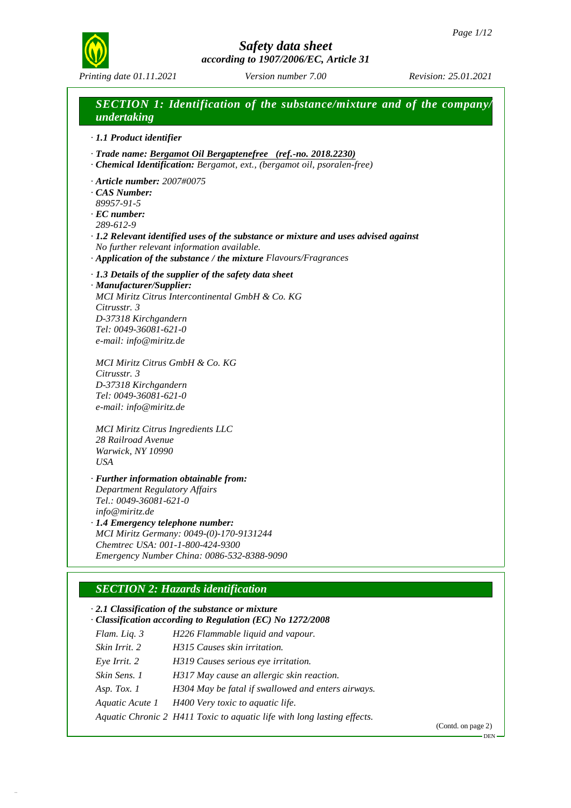DEN



# *Safety data sheet according to 1907/2006/EC, Article 31*

# *SECTION 1: Identification of the substance/mixture and of the company/*

*undertaking · 1.1 Product identifier · Trade name: Bergamot Oil Bergaptenefree (ref.-no. 2018.2230) · Chemical Identification: Bergamot, ext., (bergamot oil, psoralen-free) · Article number: 2007#0075 · CAS Number: 89957-91-5 · EC number: 289-612-9 · 1.2 Relevant identified uses of the substance or mixture and uses advised against No further relevant information available. · Application of the substance /the mixture Flavours/Fragrances · 1.3 Details of the supplier of the safety data sheet · Manufacturer/Supplier: MCI Miritz Citrus Intercontinental GmbH & Co. KG Citrusstr. 3 D-37318 Kirchgandern Tel: 0049-36081-621-0 e-mail: info@miritz.de MCI Miritz Citrus GmbH & Co. KG Citrusstr. 3 D-37318 Kirchgandern Tel: 0049-36081-621-0 e-mail: info@miritz.de MCI Miritz Citrus Ingredients LLC 28 Railroad Avenue Warwick, NY 10990 USA · Further information obtainable from: Department Regulatory Affairs Tel.: 0049-36081-621-0 info@miritz.de*

*· 1.4 Emergency telephone number: MCI Miritz Germany: 0049-(0)-170-9131244 Chemtrec USA: 001-1-800-424-9300 Emergency Number China: 0086-532-8388-9090*

# *SECTION 2: Hazards identification*

53.1.30

*· 2.1 Classification of the substance or mixture · Classification according to Regulation (EC) No 1272/2008 Flam. Liq. 3 H226 Flammable liquid and vapour. Skin Irrit. 2 H315 Causes skin irritation. Eye Irrit. 2 H319 Causes serious eye irritation. Skin Sens. 1 H317 May cause an allergic skin reaction. Asp. Tox. 1 H304 May be fatal if swallowed and enters airways. Aquatic Acute 1 H400 Very toxic to aquatic life. Aquatic Chronic 2 H411 Toxic to aquatic life with long lasting effects.* (Contd. on page 2)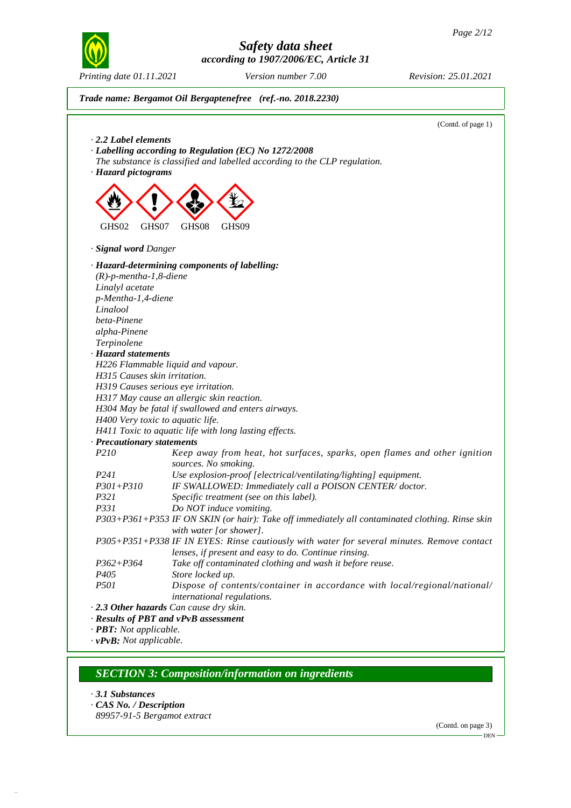



# *SECTION 3: Composition/information on ingredients*

*· 3.1 Substances*

53.1.30

- *· CAS No. / Description*
- *89957-91-5 Bergamot extract*

(Contd. on page 3) DEN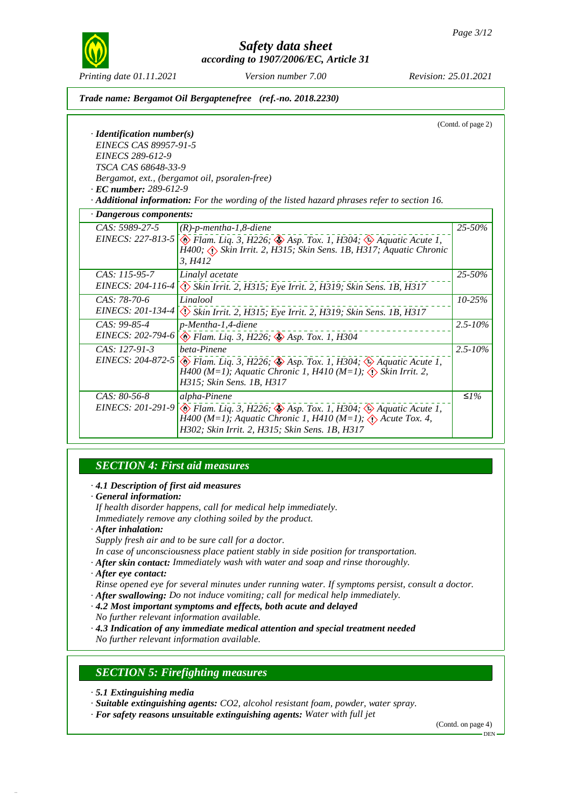

*Printing date 01.11.2021 Version number 7.00 Revision: 25.01.2021*

*Trade name: Bergamot Oil Bergaptenefree (ref.-no. 2018.2230)*

(Contd. of page 2) *· Identification number(s) EINECS CAS 89957-91-5 EINECS 289-612-9 TSCA CAS 68648-33-9 Bergamot, ext., (bergamot oil, psoralen-free) · EC number: 289-612-9 · Additional information: For the wording of the listed hazard phrases refer to section 16. · Dangerous components: CAS: 5989-27-5 EINECS: 227-813-5 (R)-p-mentha-1,8-diene* d~ *Flam. Liq. 3, H226;* d~ *Asp. Tox. 1, H304;* d~ *Aquatic Acute 1, H400;* d~ *Skin Irrit. 2, H315; Skin Sens. 1B, H317; Aquatic Chronic 3, H412 25-50% CAS: 115-95-7 EINECS: 204-116-4 Linalyl acetate* d~ *SkinIrrit. 2, H315; Eye Irrit. 2, H319; Skin Sens. 1B, H317 25-50% CAS: 78-70-6 EINECS: 201-134-4 Linalool* d~ *SkinIrrit. 2, H315; Eye Irrit. 2, H319; Skin Sens. 1B, H317 10-25% CAS: 99-85-4 EINECS: 202-794-6 p-Mentha-1,4-diene* d~ *Flam. Liq. 3, H226;* d~ *Asp. Tox. 1, H304 2.5-10% CAS: 127-91-3 EINECS: 204-872-5 beta-Pinene* d~ *Flam. Liq. 3, H226;* d~ *Asp. Tox. 1, H304;* d~ *Aquatic Acute 1, H400 (M=1); Aquatic Chronic 1, H410 (M=1);* d~ *Skin Irrit. 2, H315; Skin Sens. 1B, H317 2.5-10% CAS: 80-56-8 EINECS: 201-291-9 alpha-Pinene* d~ *Flam. Liq. 3, H226;* d~ *Asp. Tox. 1, H304;* d~ *Aquatic Acute 1, H400 (M=1); Aquatic Chronic 1, H410 (M=1);* d~ *Acute Tox. 4, H302; Skin Irrit. 2, H315; Skin Sens. 1B, H317 ≤1%*

# *SECTION 4: First aid measures*

- *· 4.1 Description of first aid measures*
- *· General information:*
- *If health disorder happens, call for medical help immediately.*
- *Immediately remove any clothing soiled by the product.*
- *· After inhalation:*

*Supply fresh air and to be sure call for a doctor.*

- *In case of unconsciousness place patient stably in side position for transportation.*
- *· After skin contact: Immediately wash with water and soap and rinse thoroughly.*
- *· After eye contact:*
- *Rinse opened eye for several minutes under running water. If symptoms persist, consult a doctor.*
- *· After swallowing: Do not induce vomiting; call for medical help immediately.*
- *· 4.2 Most important symptoms and effects, both acute and delayed*
- *No further relevant information available.*

*· 4.3 Indication of any immediate medical attention and special treatment needed*

*No further relevant information available.*

### *SECTION 5: Firefighting measures*

*· 5.1 Extinguishing media*

53.1.30

- *· Suitable extinguishing agents: CO2, alcohol resistant foam, powder, water spray.*
- *· For safety reasons unsuitable extinguishing agents: Water with full jet*

(Contd. on page 4) DEN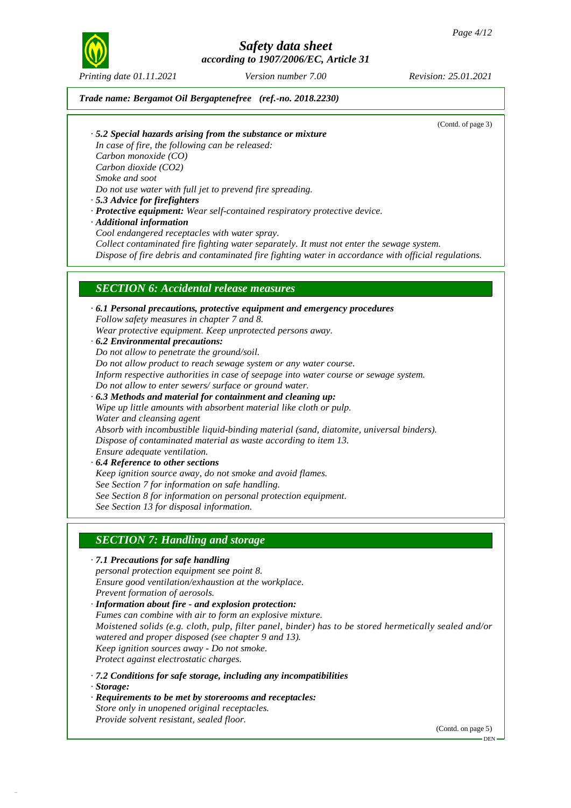

*Printing date 01.11.2021 Version number 7.00 Revision: 25.01.2021*

*Trade name: Bergamot Oil Bergaptenefree (ref.-no. 2018.2230)*

(Contd. of page 3)

*· 5.2 Special hazards arising from the substance or mixture*

*In case of fire, the following can be released: Carbon monoxide (CO)*

*Carbon dioxide (CO2)*

*Smoke and soot*

*Do not use water with full jet to prevend fire spreading.*

- *· 5.3 Advice for firefighters*
- *· Protective equipment: Wear self-contained respiratory protective device.*

*· Additional information*

*Cool endangered receptacles with water spray.*

*Collect contaminated fire fighting water separately. It must not enter the sewage system.*

*Dispose of fire debris and contaminated fire fighting water in accordance with official regulations.*

### *SECTION 6: Accidental release measures*

*· 6.1 Personal precautions, protective equipment and emergency procedures Follow safety measures in chapter 7 and 8. Wear protective equipment. Keep unprotected persons away. · 6.2 Environmental precautions: Do not allow to penetrate the ground/soil. Do not allow product to reach sewage system or any water course. Inform respective authorities in case of seepage into water course or sewage system. Do not allow to enter sewers/ surface or ground water. · 6.3 Methods and material for containment and cleaning up: Wipe up little amounts with absorbent material like cloth or pulp. Water and cleansing agent Absorb with incombustible liquid-binding material (sand, diatomite, universal binders). Dispose of contaminated material as waste according to item 13. Ensure adequate ventilation. · 6.4 Reference to other sections Keep ignition source away, do not smoke and avoid flames. See Section 7 for information on safe handling. See Section 8 for information on personal protection equipment. See Section 13 for disposal information.*

### *SECTION 7: Handling and storage*

*· 7.1 Precautions for safe handling personal protection equipment see point 8. Ensure good ventilation/exhaustion at the workplace. Prevent formation of aerosols.*

*· Information about fire - and explosion protection: Fumes can combine with air to form an explosive mixture. Moistened solids (e.g. cloth, pulp, filter panel, binder) has to be stored hermetically sealed and/or watered and proper disposed (see chapter 9 and 13). Keep ignition sources away - Do not smoke. Protect against electrostatic charges.*

*· 7.2 Conditions for safe storage, including any incompatibilities*

*· Storage:*

53.1.30

*· Requirements to be met by storerooms and receptacles:*

*Store only in unopened original receptacles. Provide solvent resistant, sealed floor.*

(Contd. on page 5)

DEN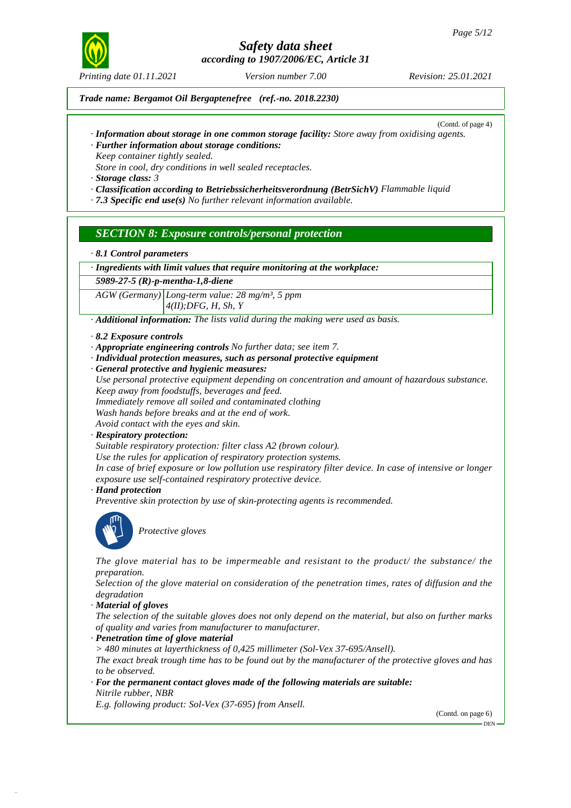

*Printing date 01.11.2021 Version number 7.00 Revision: 25.01.2021*

*Trade name: Bergamot Oil Bergaptenefree (ref.-no. 2018.2230)*

(Contd. of page 4)

- *· Information about storage in one common storage facility: Store away from oxidising agents. · Further information about storage conditions:*
- *Keep container tightly sealed.*
- *Store in cool, dry conditions in well sealed receptacles.*

*· Storage class: 3*

- *· Classification according to Betriebssicherheitsverordnung (BetrSichV) Flammable liquid*
- *· 7.3 Specific end use(s) No further relevant information available.*

### *SECTION 8: Exposure controls/personal protection*

*· 8.1 Control parameters*

*· Ingredients with limit values that require monitoring at the workplace:*

*5989-27-5 (R)-p-mentha-1,8-diene*

*AGW (Germany) Long-term value: 28 mg/m³, 5 ppm 4(II);DFG, H, Sh, Y*

- *· Additional information: The lists valid during the making were used as basis.*
- *· 8.2 Exposure controls*
- *· Appropriate engineering controls No further data; see item 7.*
- *· Individual protection measures, such as personal protective equipment*
- *· General protective and hygienic measures:*
- *Use personal protective equipment depending on concentration and amount of hazardous substance. Keep away from foodstuffs, beverages and feed.*
- *Immediately remove all soiled and contaminated clothing*
- *Wash hands before breaks and at the end of work.*
- *Avoid contact with the eyes and skin.*
- *· Respiratory protection:*

*Suitable respiratory protection: filter class A2 (brown colour).*

*Use the rules for application of respiratory protection systems.*

In case of brief exposure or low pollution use respiratory filter device. In case of intensive or longer *exposure use self-contained respiratory protective device.*

*· Hand protection*

*Preventive skin protection by use of skin-protecting agents is recommended.*



53.1.30

\_S*Protective gloves*

*The glove material has to be impermeable and resistant to the product/ the substance/ the preparation.*

*Selection of the glove material on consideration of the penetration times, rates of diffusion and the degradation*

*· Material of gloves*

The selection of the suitable gloves does not only depend on the material, but also on further marks *of quality and varies from manufacturer to manufacturer.*

- *· Penetration time of glove material*
- *> 480 minutes at layerthickness of 0,425 millimeter (Sol-Vex 37-695/Ansell).*

The exact break trough time has to be found out by the manufacturer of the protective gloves and has *to be observed.*

*· For the permanent contact gloves made of the following materials are suitable: Nitrile rubber, NBR*

*E.g. following product: Sol-Vex (37-695) from Ansell.*

(Contd. on page 6)

<sup>-</sup> DEN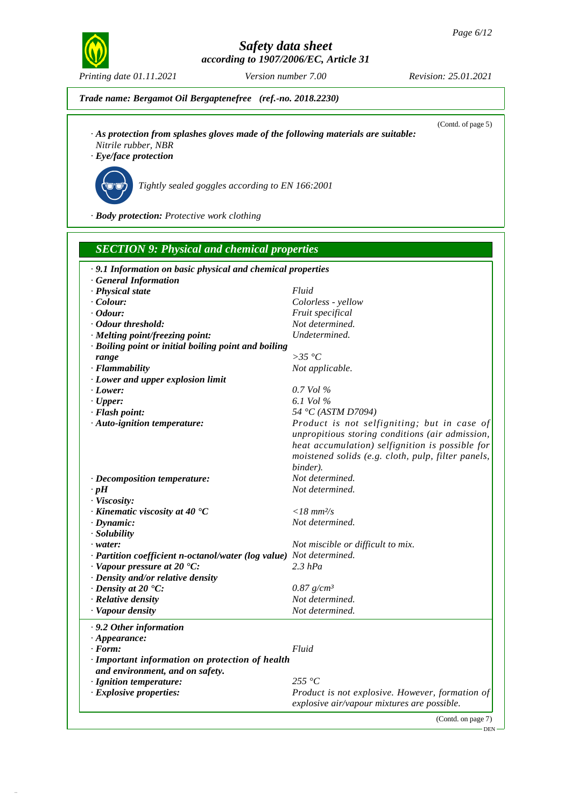

*Trade name: Bergamot Oil Bergaptenefree (ref.-no. 2018.2230)*

(Contd. of page 5)

- *· As protection from splashes gloves made of the following materials are suitable:*
- *Nitrile rubber, NBR*
- *· Eye/face protection*



53.1.30

\_R*Tightly sealed goggles according to EN 166:2001*

*· Body protection: Protective work clothing*

| · 9.1 Information on basic physical and chemical properties         |                                                    |
|---------------------------------------------------------------------|----------------------------------------------------|
| · General Information                                               |                                                    |
| · Physical state                                                    | Fluid                                              |
| $\cdot$ Colour:                                                     | Colorless - yellow                                 |
| $\cdot$ Odour:                                                      | Fruit specifical                                   |
| · Odour threshold:                                                  | Not determined.                                    |
| · Melting point/freezing point:                                     | Undetermined.                                      |
| · Boiling point or initial boiling point and boiling                |                                                    |
| range                                                               | $>35\text{ °C}$                                    |
| · Flammability                                                      | Not applicable.                                    |
| · Lower and upper explosion limit                                   |                                                    |
| $\cdot$ Lower:                                                      | $0.7$ Vol $\%$                                     |
| $\cdot$ Upper:                                                      | 6.1 Vol %                                          |
| · Flash point:                                                      | 54 °C (ASTM D7094)                                 |
| · Auto-ignition temperature:                                        | Product is not selfigniting; but in case of        |
|                                                                     | unpropitious storing conditions (air admission,    |
|                                                                     | heat accumulation) selfignition is possible for    |
|                                                                     | moistened solids (e.g. cloth, pulp, filter panels, |
|                                                                     | binder).                                           |
| · Decomposition temperature:                                        | Not determined.                                    |
| $\cdot$ pH                                                          | Not determined.                                    |
| · Viscosity:                                                        |                                                    |
| $\cdot$ Kinematic viscosity at 40 $\cdot$ C                         | $<$ 18 mm <sup>2</sup> /s                          |
| $\cdot$ Dynamic:                                                    | Not determined.                                    |
| · Solubility                                                        |                                                    |
| $\cdot$ water:                                                      | Not miscible or difficult to mix.                  |
| · Partition coefficient n-octanol/water (log value) Not determined. |                                                    |
| $\cdot$ Vapour pressure at 20 $\cdot$ C:                            | $2.3$ hPa                                          |
| · Density and/or relative density                                   |                                                    |
| $\cdot$ Density at 20 $\cdot$ C:                                    | $0.87$ g/cm <sup>3</sup>                           |
| · Relative density                                                  | Not determined.                                    |
| · Vapour density                                                    | Not determined.                                    |
| . 9.2 Other information                                             |                                                    |
| $\cdot$ Appearance:                                                 |                                                    |
| · Form:                                                             | Fluid                                              |
| · Important information on protection of health                     |                                                    |
| and environment, and on safety.                                     |                                                    |
| · Ignition temperature:                                             | 255 °C                                             |
| · Explosive properties:                                             | Product is not explosive. However, formation of    |
|                                                                     | explosive air/vapour mixtures are possible.        |

DEN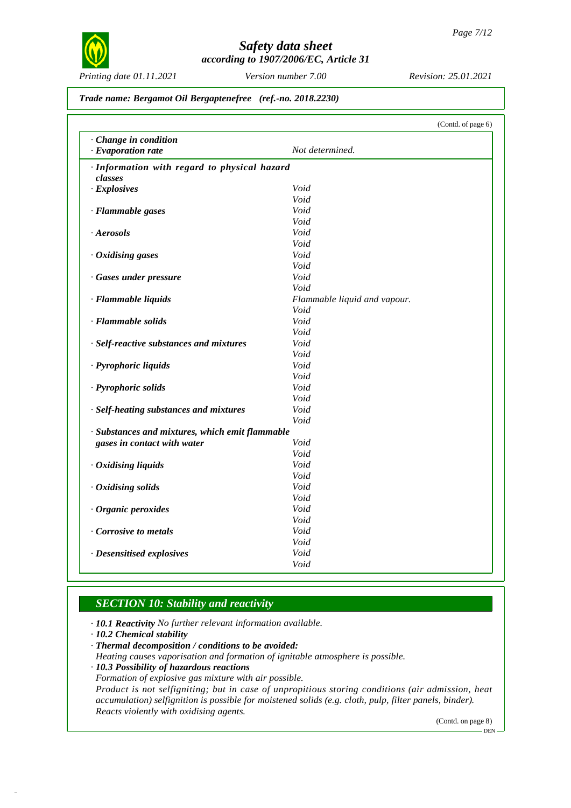

*Printing date 01.11.2021 Version number 7.00 Revision: 25.01.2021*

#### *Trade name: Bergamot Oil Bergaptenefree (ref.-no. 2018.2230)*

|                                                 | (Contd. of page 6)           |  |
|-------------------------------------------------|------------------------------|--|
| · Change in condition                           |                              |  |
| · Evaporation rate                              | Not determined.              |  |
| · Information with regard to physical hazard    |                              |  |
| classes                                         |                              |  |
| $\cdot$ Explosives                              | Void                         |  |
|                                                 | Void                         |  |
| · Flammable gases                               | Void                         |  |
|                                                 | Void                         |  |
| Aerosols                                        | Void                         |  |
|                                                 | Void                         |  |
| $\cdot$ Oxidising gases                         | Void                         |  |
|                                                 | Void                         |  |
| · Gases under pressure                          | Void                         |  |
|                                                 | Void                         |  |
| · Flammable liquids                             | Flammable liquid and vapour. |  |
|                                                 | Void                         |  |
| · Flammable solids                              | Void                         |  |
|                                                 | Void                         |  |
| · Self-reactive substances and mixtures         | Void                         |  |
|                                                 | Void                         |  |
| · Pyrophoric liquids                            | Void                         |  |
|                                                 | Void                         |  |
| · Pyrophoric solids                             | Void                         |  |
|                                                 | Void                         |  |
| · Self-heating substances and mixtures          | Void                         |  |
|                                                 | Void                         |  |
| · Substances and mixtures, which emit flammable |                              |  |
| gases in contact with water                     | Void                         |  |
|                                                 | Void                         |  |
|                                                 | Void                         |  |
| $\cdot$ Oxidising liquids                       | Void                         |  |
|                                                 | Void                         |  |
| $\cdot$ Oxidising solids                        | Void                         |  |
|                                                 | Void                         |  |
| · Organic peroxides                             |                              |  |
|                                                 | Void                         |  |
| Corrosive to metals                             | Void                         |  |
|                                                 | Void                         |  |
| · Desensitised explosives                       | Void                         |  |
|                                                 | Void                         |  |

# *SECTION 10: Stability and reactivity*

*· 10.1 Reactivity No further relevant information available.*

*· 10.2 Chemical stability*

53.1.30

*· Thermal decomposition / conditions to be avoided:*

*Heating causes vaporisation and formation of ignitable atmosphere is possible.*

*· 10.3 Possibility of hazardous reactions*

*Formation of explosive gas mixture with air possible.*

*Product is not selfigniting; but in case of unpropitious storing conditions (air admission, heat accumulation) selfignition is possible for moistened solids (e.g. cloth, pulp, filter panels, binder). Reacts violently with oxidising agents.*

(Contd. on page 8)

DEN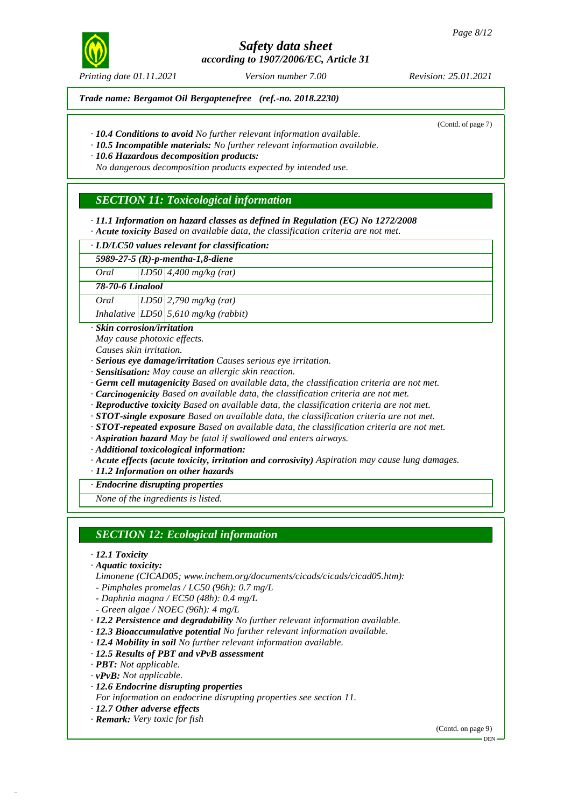

*Printing date 01.11.2021 Version number 7.00 Revision: 25.01.2021*

*Trade name: Bergamot Oil Bergaptenefree (ref.-no. 2018.2230)*

(Contd. of page 7)

*· 10.4 Conditions to avoid No further relevant information available.*

*· 10.5 Incompatible materials: No further relevant information available.*

*· 10.6 Hazardous decomposition products:*

*No dangerous decomposition products expected by intended use.*

# *SECTION 11: Toxicological information*

*· 11.1 Information on hazard classes as defined in Regulation (EC) No 1272/2008*

*· Acute toxicity Based on available data, the classification criteria are not met.*

*· LD/LC50 values relevant for classification:*

*5989-27-5 (R)-p-mentha-1,8-diene*

*Oral LD50 4,400 mg/kg (rat)*

*78-70-6 Linalool*

*Oral LD50 2,790 mg/kg (rat) Inhalative LD50 5,610 mg/kg (rabbit)*

*· Skin corrosion/irritation*

*May cause photoxic effects.*

*Causes skin irritation.*

- *· Serious eye damage/irritation Causes serious eye irritation.*
- *· Sensitisation: May cause an allergic skin reaction.*
- *· Germ cell mutagenicity Based on available data, the classification criteria are not met.*
- *· Carcinogenicity Based on available data, the classification criteria are not met.*

*· Reproductive toxicity Based on available data, the classification criteria are not met.*

*· STOT-single exposure Based on available data, the classification criteria are not met.*

*· STOT-repeated exposure Based on available data, the classification criteria are not met.*

*· Aspiration hazard May be fatal if swallowed and enters airways.*

*· Additional toxicological information:*

*· Acute effects (acute toxicity, irritation and corrosivity) Aspiration may cause lung damages.*

*· 11.2 Information on other hazards*

#### *· Endocrine disrupting properties*

*None of the ingredients is listed.*

*SECTION 12: Ecological information*

*· 12.1 Toxicity*

*· Aquatic toxicity:*

*Limonene (CICAD05; [www.inchem.org/documents/cicads/cicads/cicad05.htm\):](http://www.inchem.org/documents/cicads/cicads/cicad05.htm):)*

- *- Pimphales promelas / LC50 (96h): 0.7 mg/L*
- *- Daphnia magna / EC50 (48h): 0.4 mg/L*

*- Green algae /NOEC (96h): 4 mg/L*

*· 12.2 Persistence and degradability No further relevant information available.*

*· 12.3 Bioaccumulative potential No further relevant information available.*

*· 12.4 Mobility in soil No further relevant information available.*

*· 12.5 Results of PBT and vPvB assessment*

*· PBT: Not applicable.*

*· vPvB: Not applicable.*

53.1.30

- *· 12.6 Endocrine disrupting properties*
- *For information on endocrine disrupting properties see section 11.*
- *· 12.7 Other adverse effects*

*· Remark: Very toxic for fish*

(Contd. on page 9)

## DEN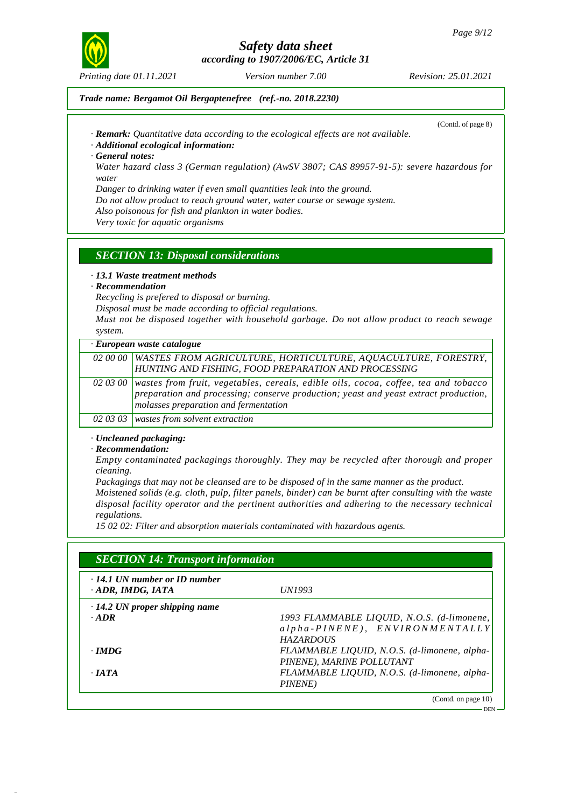

*Printing date 01.11.2021 Version number 7.00 Revision: 25.01.2021*

#### *Trade name: Bergamot Oil Bergaptenefree (ref.-no. 2018.2230)*

(Contd. of page 8)

*· Remark: Quantitative data according to the ecological effects are not available.*

#### *· Additional ecological information:*

*· General notes:*

*Water hazard class 3 (German regulation) (AwSV 3807; CAS 89957-91-5): severe hazardous for water*

*Danger to drinking water if even small quantities leak into the ground.*

*Do not allow product to reach ground water, water course or sewage system.*

*Also poisonous for fish and plankton in water bodies.*

*Very toxic for aquatic organisms*

### *SECTION 13: Disposal considerations*

#### *· 13.1 Waste treatment methods*

#### *· Recommendation*

*Recycling is prefered to disposal or burning.*

*Disposal must be made according to official regulations.*

*Must not be disposed together with household garbage. Do not allow product to reach sewage system.*

| · European waste catalogue                                                                                                                                                                                                       |
|----------------------------------------------------------------------------------------------------------------------------------------------------------------------------------------------------------------------------------|
| 02 00 00 WASTES FROM AGRICULTURE, HORTICULTURE, AQUACULTURE, FORESTRY,                                                                                                                                                           |
| HUNTING AND FISHING, FOOD PREPARATION AND PROCESSING                                                                                                                                                                             |
| 02 03 00 wastes from fruit, vegetables, cereals, edible oils, cocoa, coffee, tea and tobacco<br>$ preparation$ and processing; conserve production; yeast and yeast extract production,<br>molasses preparation and fermentation |
| 02.03.03 wastes from solvent extraction                                                                                                                                                                                          |

*02 03 03 wastes from solvent extraction*

#### *· Uncleaned packaging:*

#### *· Recommendation:*

53.1.30

*Empty contaminated packagings thoroughly. They may be recycled after thorough and proper cleaning.*

*Packagings that may not be cleansed are to be disposed of in the same manner as the product. Moistened solids (e.g. cloth, pulp, filter panels, binder) can be burnt after consulting with the waste disposal facility operator and the pertinent authorities and adhering to the necessary technical regulations.*

*15 02 02: Filter and absorption materials contaminated with hazardous agents.*

| . 14.1 UN number or ID number<br>ADR, IMDG, IATA | <i>UN1993</i>                                |
|--------------------------------------------------|----------------------------------------------|
| $\cdot$ 14.2 UN proper shipping name             |                                              |
| $.$ ADR                                          | 1993 FLAMMABLE LIQUID, N.O.S. (d-limonene,   |
|                                                  | $alpha-PINENE$ ), $ENVIRONMENTALLY$          |
|                                                  | <b>HAZARDOUS</b>                             |
| $\cdot$ IMDG                                     | FLAMMABLE LIQUID, N.O.S. (d-limonene, alpha- |
|                                                  | PINENE), MARINE POLLUTANT                    |
| $\cdot$ JATA                                     | FLAMMABLE LIQUID, N.O.S. (d-limonene, alpha- |
|                                                  | PINENE)                                      |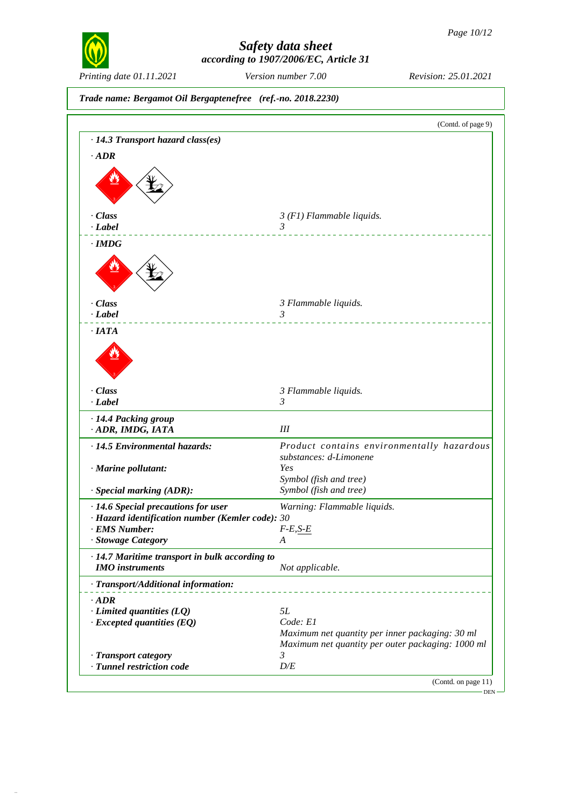

53.1.30

# *Safety data sheet according to 1907/2006/EC, Article 31*

*Printing date 01.11.2021 Version number 7.00 Revision: 25.01.2021*

*Trade name: Bergamot Oil Bergaptenefree (ref.-no. 2018.2230)* (Contd. of page 9) *· 14.3 Transport hazard class(es) · ADR* december 1977 *· Class 3 (F1) Flammable liquids. · Label 3 · IMDG* dc`gxdâ´ *· Class 3 Flammable liquids. · Label 3* <u>. . . . . . . . . .</u> *· IATA* de Cartes *· Class 3 Flammable liquids. · Label 3 · 14.4 Packing group · ADR, IMDG, IATA III · 14.5 Environmental hazards: Product contains environmentally hazardous substances: d-Limonene · Marine pollutant: Yes Symbol (fish and tree) · Special marking (ADR): Symbol (fish and tree) · 14.6 Special precautions for user Warning: Flammable liquids. · Hazard identification number (Kemler code): 30 · EMS Number: F-E,S-E · Stowage Category A · 14.7 Maritime transport in bulk according to IMO instruments Not applicable. · Transport/Additional information: · ADR · Limited quantities (LQ) 5L · Excepted quantities (EQ) Code: E1 Maximum net quantity per inner packaging: 30 ml Maximum net quantity per outer packaging: 1000 ml · Transport category 3*  $\cdot$  *Tunnel restriction code* (Contd. on page 11) DEN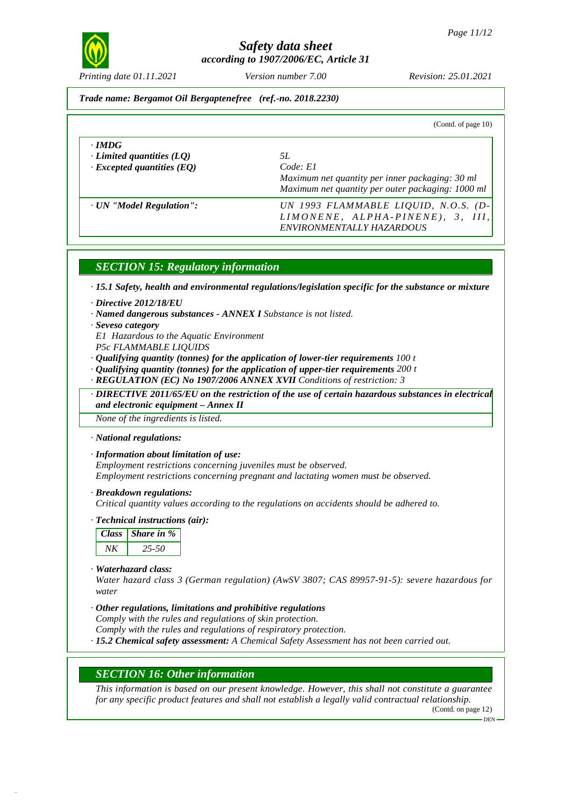

*Printing date 01.11.2021 Version number 7.00 Revision: 25.01.2021*

#### *Trade name: Bergamot Oil Bergaptenefree (ref.-no. 2018.2230)*

| (Contd. of page $10$ )                                                        |                                                                                                                        |
|-------------------------------------------------------------------------------|------------------------------------------------------------------------------------------------------------------------|
| $\cdot$ IMDG<br>Limited quantities $(LQ)$<br>$\cdot$ Excepted quantities (EQ) | 5L<br>Code: El<br>Maximum net quantity per inner packaging: 30 ml<br>Maximum net quantity per outer packaging: 1000 ml |
| · UN "Model Regulation":                                                      | UN 1993 FLAMMABLE LIQUID, N.O.S. (D-<br>LIMONENE, ALPHA-PINENE), 3, III,<br>ENVIRONMENTALLY HAZARDOUS                  |

### *SECTION 15: Regulatory information*

*· 15.1 Safety, health and environmental regulations/legislation specific for the substance or mixture*

- *· Directive 2012/18/EU*
- *· Named dangerous substances - ANNEX I Substance is not listed.*
- *· Seveso category*
- *E1 Hazardous to the Aquatic Environment*
- *P5c FLAMMABLE LIQUIDS*
- *· Qualifying quantity (tonnes) for the application of lower-tier requirements 100 t*
- *· Qualifying quantity (tonnes) for the application of upper-tier requirements 200 t*
- *· REGULATION (EC) No 1907/2006 ANNEX XVII Conditions of restriction: 3*

*· DIRECTIVE 2011/65/EU on the restriction of the use of certain hazardous substances in electrical and electronic equipment –Annex II*

*None of the ingredients is listed.*

- *· National regulations:*
- *· Information about limitation of use:*

*Employment restrictions concerning juveniles must be observed. Employment restrictions concerning pregnant and lactating women must be observed.*

*· Breakdown regulations:*

*Critical quantity values according to the regulations on accidents should be adhered to.*

*· Technical instructions (air):*

|    | Class   Share in $%$ |
|----|----------------------|
| ΝK | 25-50                |

*· Waterhazard class:*

53.1.30

*Water hazard class 3 (German regulation) (AwSV 3807; CAS 89957-91-5): severe hazardous for water*

- *· Other regulations, limitations and prohibitive regulations Comply with the rules and regulations of skin protection. Comply with the rules and regulations of respiratory protection.*
- *· 15.2 Chemical safety assessment: A Chemical Safety Assessment has not been carried out.*

### *SECTION 16: Other information*

*This information is based on our present knowledge. However, this shall not constitute a guarantee for any specific product features and shall not establish a legally valid contractual relationship.*

(Contd. on page 12)

DEN